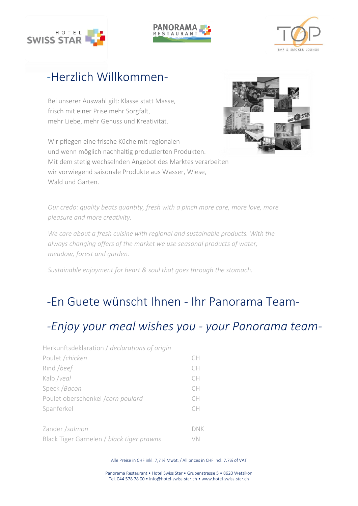





# -Herzlich Willkommen-

Bei unserer Auswahl gilt: Klasse statt Masse, frisch mit einer Prise mehr Sorgfalt, mehr Liebe, mehr Genuss und Kreativität.

Wir pflegen eine frische Küche mit regionalen und wenn möglich nachhaltig produzierten Produkten. Mit dem stetig wechselnden Angebot des Marktes verarbeiten wir vorwiegend saisonale Produkte aus Wasser, Wiese, Wald und Garten



Nachhaltiger Genuss für Herz & Seele der durch den Magen geht. *Our credo: quality beats quantity, fresh with a pinch more care, more love, more pleasure and more creativity.*

*We care about a fresh cuisine with regional and sustainable products. With the always changing offers of the market we use seasonal products of water, meadow, forest and garden.*

*Sustainable enjoyment for heart & soul that goes through the stomach.*

# -En Guete wünscht Ihnen - Ihr Panorama Team-

## *-Enjoy your meal wishes you - your Panorama team-*

| Herkunftsdeklaration / declarations of origin |           |
|-----------------------------------------------|-----------|
| Poulet / chicken                              | CH        |
| Rind /beef                                    | CH        |
| Kalb /veal                                    | CH        |
| Speck / Bacon                                 | CH        |
| Poulet oberschenkel /corn poulard             | CН        |
| Spanferkel                                    | <b>CH</b> |
| Zander /salmon                                | DNK       |
| Black Tiger Garnelen / black tiger prawns     | VN        |

Alle Preise in CHF inkl. 7,7 % MwSt. / All prices in CHF incl. 7.7% of VAT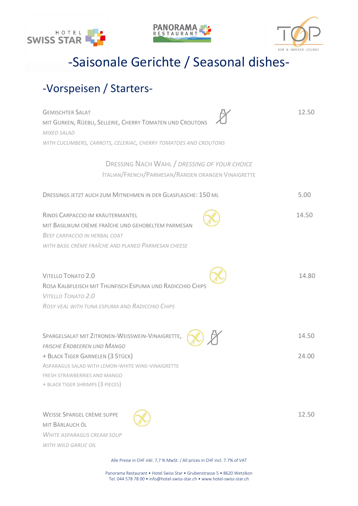





-Saisonale Gerichte / Seasonal dishes-

## -Vorspeisen / Starters-

| <b>GEMISCHTER SALAT</b><br>MIT GURKEN, RÜEBLI, SELLERIE, CHERRY TOMATEN UND CROUTONS<br><b>MIXED SALAD</b>                                                                               | 12.50 |
|------------------------------------------------------------------------------------------------------------------------------------------------------------------------------------------|-------|
| WITH CUCUMBERS, CARROTS, CELERIAC, CHERRY TOMATOES AND CROUTONS                                                                                                                          |       |
| DRESSING NACH WAHL / DRESSING OF YOUR CHOICE<br>ITALIAN/FRENCH/PARMESAN/RANDEN ORANGEN VINAIGRETTE                                                                                       |       |
| DRESSINGS JETZT AUCH ZUM MITNEHMEN IN DER GLASFLASCHE: 150 ML                                                                                                                            | 5.00  |
| RINDS CARPACCIO IM KRÄUTERMANTEL<br>MIT BASILIKUM CRÈME FRAÎCHE UND GEHOBELTEM PARMESAN<br>BEEF CARPACCIO IN HERBAL COAT                                                                 | 14.50 |
| WITH BASIL CRÈME FRAÎCHE AND PLANED PARMESAN CHEESE                                                                                                                                      |       |
| <b>VITELLO TONATO 2.0</b><br>ROSA KALBFLEISCH MIT THUNFISCH ESPUMA UND RADICCHIO CHIPS<br><b>VITELLO TONATO 2.0</b><br>ROSY VEAL WITH TUNA ESPUMA AND RADICCHIO CHIPS                    | 14.80 |
| SPARGELSALAT MIT ZITRONEN-WEISSWEIN-VINAIGRETTE,                                                                                                                                         | 14.50 |
| FRISCHE ERDBEEREN UND MANGO<br>+ BLACK TIGER GARNELEN (3 STÜCK)<br>ASPARAGUS SALAD WITH LEMON-WHITE WINE-VINAIGRETTE<br>FRESH STRAWBERRIES AND MANGO<br>+ BLACK TIGER SHRIMPS (3 PIECES) | 24.00 |
| <b>WEISSE SPARGEL CRÈME SUPPE</b><br>MIT BÄRLAUCH ÖL<br><b>WHITE ASPARAGUS CREAM SOUP</b><br>WITH WILD GARLIC OIL                                                                        | 12.50 |

Alle Preise in CHF inkl. 7,7 % MwSt. / All prices in CHF incl. 7.7% of VAT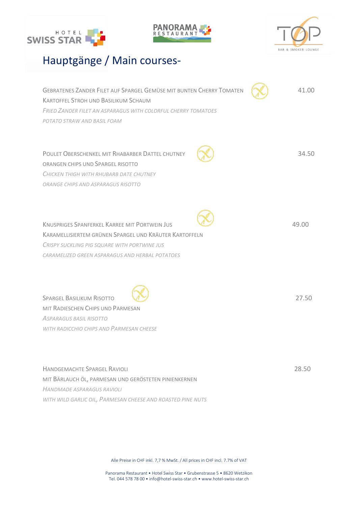





## Hauptgänge / Main courses-

| GEBRATENES ZANDER FILET AUF SPARGEL GEMÜSE MIT BUNTEN CHERRY TOMATEN<br><b>KARTOFFEL STROH UND BASILIKUM SCHAUM</b><br><b>FRIED ZANDER FILET AN ASPARAGUS WITH COLORFUL CHERRY TOMATOES</b><br>POTATO STRAW AND BASIL FOAM | 41.00 |
|----------------------------------------------------------------------------------------------------------------------------------------------------------------------------------------------------------------------------|-------|
| POULET OBERSCHENKEL MIT RHABARBER DATTEL CHUTNEY<br>ORANGEN CHIPS UND SPARGEL RISOTTO<br>CHICKEN THIGH WITH RHUBARB DATE CHUTNEY<br>ORANGE CHIPS AND ASPARAGUS RISOTTO                                                     | 34.50 |
| <b>KNUSPRIGES SPANEFRKEL KARREE MIT PORTWEIN JUS</b><br>KARAMELLISIERTEM GRÜNEN SPARGEL UND KRÄUTER KARTOFFELN<br><b>CRISPY SUCKLING PIG SQUARE WITH PORTWINE JUS</b><br>CARAMELIZED GREEN ASPARAGUS AND HERBAL POTATOES   | 49.00 |
| <b>SPARGEL BASILIKUM RISOTTO</b><br>MIT RADIESCHEN CHIPS UND PARMESAN<br><b>ASPARAGUS BASIL RISOTTO</b><br>WITH RADICCHIO CHIPS AND PARMESAN CHEESE                                                                        | 27.50 |

HANDGEMACHTE SPARGEL RAVIOLI 28.50 MIT BÄRLAUCH ÖL, PARMESAN UND GERÖSTETEN PINIENKERNEN *HANDMADE ASPARAGUS RAVIOLI WITH WILD GARLIC OIL, PARMESAN CHEESE AND ROASTED PINE NUTS* 

Alle Preise in CHF inkl. 7,7 % MwSt. / All prices in CHF incl. 7.7% of VAT

Panorama Restaurant • Hotel Swiss Star • Grubenstrasse 5 • 8620 Wetzikon Tel. 044 578 78 00 • info@hotel-swiss-star.ch • [www.hotel-swiss-star.ch](http://www.hotel-swiss-star.ch/)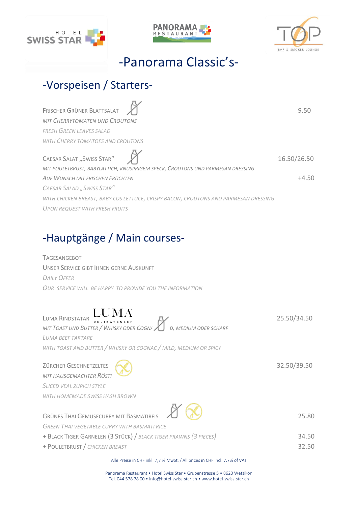





# -Panorama Classic's-

## -Vorspeisen / Starters-

| FRISCHER GRÜNER BLATTSALAT                                                                                  | 9.50        |
|-------------------------------------------------------------------------------------------------------------|-------------|
| <b>MIT CHERRYTOMATEN UND CROUTONS</b>                                                                       |             |
| FRESH GREEN LEAVES SALAD                                                                                    |             |
| WITH CHERRY TOMATOES AND CROUTONS                                                                           |             |
| CAESAR SALAT "SWISS STAR"<br>MIT POULETBRUST, BABYLATTICH, KNUSPRIGEM SPECK, CROUTONS UND PARMESAN DRESSING | 16.50/26.50 |
| AUF WUNSCH MIT FRISCHEN FRÜCHTEN                                                                            | $+4.50$     |
| <b>CAESAR SALAD</b> "SWISS STAR"                                                                            |             |
| WITH CHICKEN BREAST, BABY COS LETTUCE, CRISPY BACON, CROUTONS AND PARMESAN DRESSING                         |             |
| <b>UPON REQUEST WITH FRESH FRUITS</b>                                                                       |             |

## -Hauptgänge / Main courses-

TAGESANGEBOT UNSER SERVICE GIBT IHNEN GERNE AUSKUNFT *DAILY OFFER OUR SERVICE WILL BE HAPPY TO PROVIDE YOU THE INFORMATION*

# LUMA RINDSTATAR DELIKATESSEN  $\mathbb{Z}$  25.50/34.50

*MIT TOAST UND BUTTER / WHISKY ODER COGNAC / MILD, MEDIUM ODER SCHARF LUMA BEEF TARTARE WITH TOAST AND BUTTER / WHISKY OR COGNAC / MILD, MEDIUM OR SPICY*

ZÜRCHER GESCHNETZELTES **ALL AN EXECUTES** 32.50/39.50 *MIT HAUSGEMACHTER RÖSTI SLICED VEAL ZURICH STYLE WITH HOMEMADE SWISS HASH BROWN*

GRÜNES THAI GEMÜSECURRY MIT BASMATIREIS **25.80** *GREEN THAI VEGETABLE CURRY WITH BASMATI RICE*  + BLACK TIGER GARNELEN (3 STÜCK)/ *BLACK TIGER PRAWNS (3 PIECES)* 34.50 + POULETBRUST / *CHICKEN BREAST* 32.50

Alle Preise in CHF inkl. 7,7 % MwSt. / All prices in CHF incl. 7.7% of VAT

Panorama Restaurant • Hotel Swiss Star • Grubenstrasse 5 • 8620 Wetzikon Tel. 044 578 78 00 • info@hotel-swiss-star.ch • [www.hotel-swiss-star.ch](http://www.hotel-swiss-star.ch/)